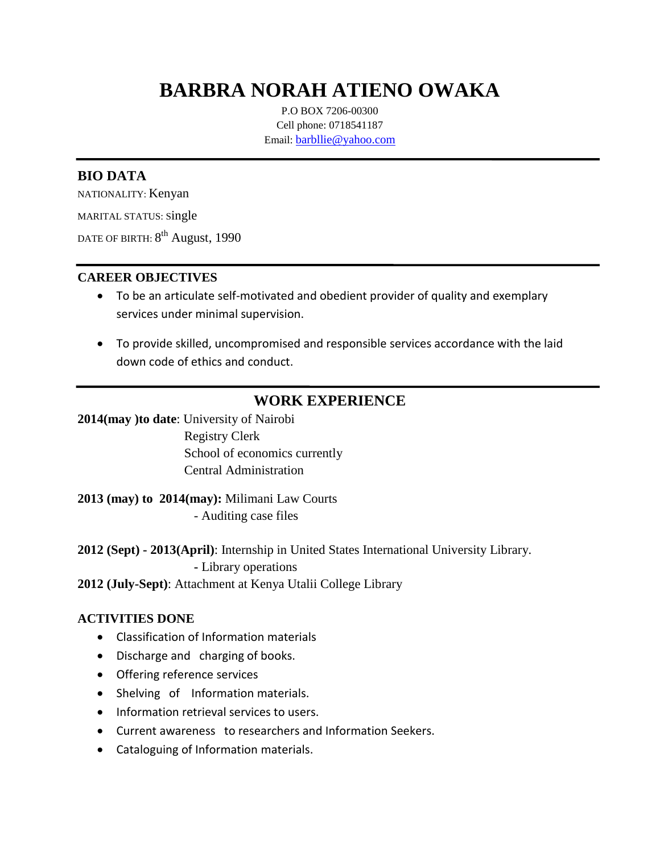# **BARBRA NORAH ATIENO OWAKA**

P.O BOX 7206-00300 Cell phone: 0718541187 Email: [barbllie@yahoo.com](mailto:barbllie@yahoo.com)

### **BIO DATA**

NATIONALITY: Kenyan

MARITAL STATUS: Single

date of birth:  $8^{\rm th}$  August, 1990

### **CAREER OBJECTIVES**

- To be an articulate self-motivated and obedient provider of quality and exemplary services under minimal supervision.
- To provide skilled, uncompromised and responsible services accordance with the laid down code of ethics and conduct.

## **WORK EXPERIENCE**

**2014(may )to date**: University of Nairobi Registry Clerk School of economics currently Central Administration

**2013 (may) to 2014(may):** Milimani Law Courts - Auditing case files

**2012 (Sept) - 2013(April)**: Internship in United States International University Library. **-** Library operations

**2012 (July-Sept)**: Attachment at Kenya Utalii College Library

### **ACTIVITIES DONE**

- Classification of Information materials
- Discharge and charging of books.
- Offering reference services
- Shelving of Information materials.
- Information retrieval services to users.
- Current awareness to researchers and Information Seekers.
- Cataloguing of Information materials.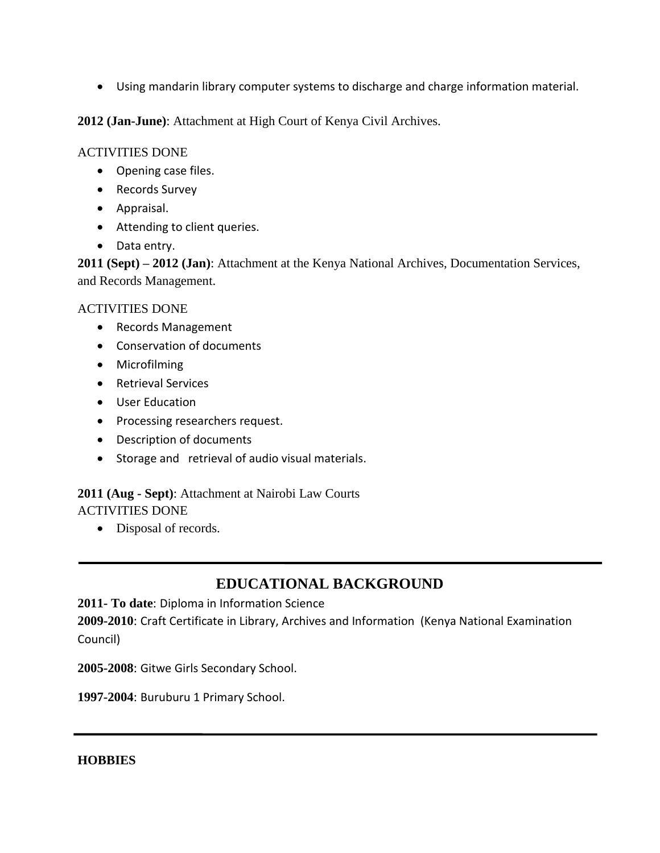Using mandarin library computer systems to discharge and charge information material.

**2012 (Jan-June)**: Attachment at High Court of Kenya Civil Archives.

### ACTIVITIES DONE

- Opening case files.
- Records Survey
- Appraisal.
- Attending to client queries.
- Data entry.

**2011 (Sept) – 2012 (Jan)**: Attachment at the Kenya National Archives, Documentation Services, and Records Management.

### ACTIVITIES DONE

- Records Management
- Conservation of documents
- Microfilming
- Retrieval Services
- User Education
- Processing researchers request.
- Description of documents
- Storage and retrieval of audio visual materials.

# **2011 (Aug - Sept)**: Attachment at Nairobi Law Courts

ACTIVITIES DONE

• Disposal of records.

## **EDUCATIONAL BACKGROUND**

**2011- To date**: Diploma in Information Science

**2009-2010**: Craft Certificate in Library, Archives and Information (Kenya National Examination Council)

**2005-2008**: Gitwe Girls Secondary School.

**1997-2004**: Buruburu 1 Primary School.

**HOBBIES**